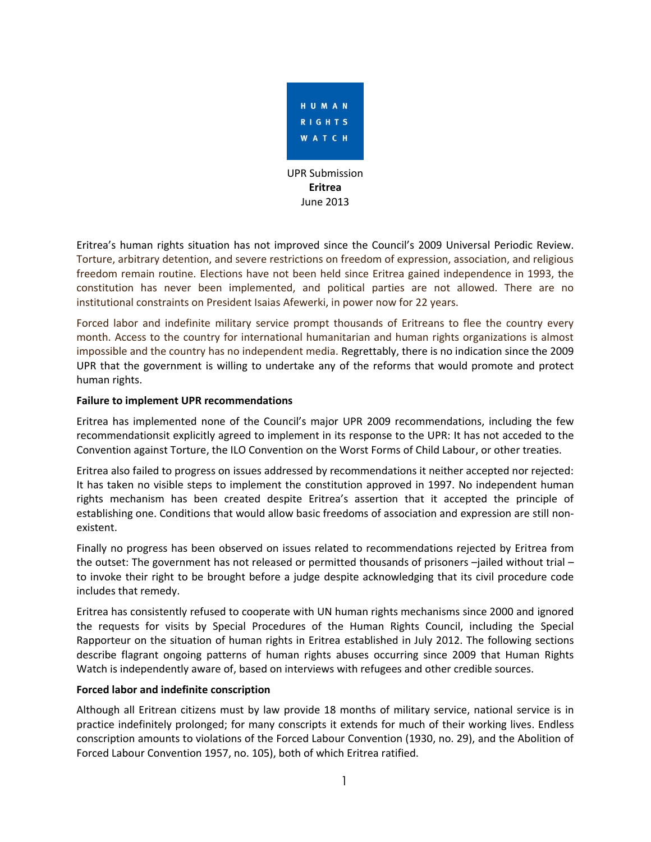

Eritrea's human rights situation has not improved since the Council's 2009 Universal Periodic Review. Torture, arbitrary detention, and severe restrictions on freedom of expression, association, and religious freedom remain routine. Elections have not been held since Eritrea gained independence in 1993, the constitution has never been implemented, and political parties are not allowed. There are no institutional constraints on President Isaias Afewerki, in power now for 22 years.

Forced labor and indefinite military service prompt thousands of Eritreans to flee the country every month. Access to the country for international humanitarian and human rights organizations is almost impossible and the country has no independent media. Regrettably, there is no indication since the 2009 UPR that the government is willing to undertake any of the reforms that would promote and protect human rights.

# **Failure to implement UPR recommendations**

Eritrea has implemented none of the Council's major UPR 2009 recommendations, including the few recommendationsit explicitly agreed to implement in its response to the UPR: It has not acceded to the Convention against Torture, the ILO Convention on the Worst Forms of Child Labour, or other treaties.

Eritrea also failed to progress on issues addressed by recommendations it neither accepted nor rejected: It has taken no visible steps to implement the constitution approved in 1997. No independent human rights mechanism has been created despite Eritrea's assertion that it accepted the principle of establishing one. Conditions that would allow basic freedoms of association and expression are still nonexistent.

Finally no progress has been observed on issues related to recommendations rejected by Eritrea from the outset: The government has not released or permitted thousands of prisoners –jailed without trial – to invoke their right to be brought before a judge despite acknowledging that its civil procedure code includes that remedy.

Eritrea has consistently refused to cooperate with UN human rights mechanisms since 2000 and ignored the requests for visits by Special Procedures of the Human Rights Council, including the Special Rapporteur on the situation of human rights in Eritrea established in July 2012. The following sections describe flagrant ongoing patterns of human rights abuses occurring since 2009 that Human Rights Watch is independently aware of, based on interviews with refugees and other credible sources.

## **Forced labor and indefinite conscription**

Although all Eritrean citizens must by law provide 18 months of military service, national service is in practice indefinitely prolonged; for many conscripts it extends for much of their working lives. Endless conscription amounts to violations of the Forced Labour Convention (1930, no. 29), and the Abolition of Forced Labour Convention 1957, no. 105), both of which Eritrea ratified.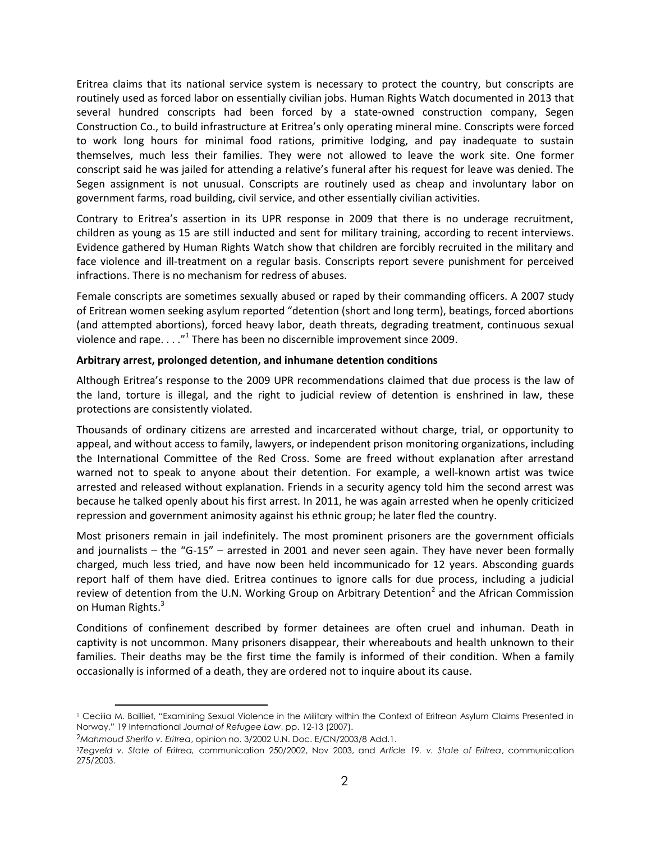Eritrea claims that its national service system is necessary to protect the country, but conscripts are routinely used as forced labor on essentially civilian jobs. Human Rights Watch documented in 2013 that several hundred conscripts had been forced by a state-owned construction company, Segen Construction Co., to build infrastructure at Eritrea's only operating mineral mine. Conscripts were forced to work long hours for minimal food rations, primitive lodging, and pay inadequate to sustain themselves, much less their families. They were not allowed to leave the work site. One former conscript said he was jailed for attending a relative's funeral after his request for leave was denied. The Segen assignment is not unusual. Conscripts are routinely used as cheap and involuntary labor on government farms, road building, civil service, and other essentially civilian activities.

Contrary to Eritrea's assertion in its UPR response in 2009 that there is no underage recruitment, children as young as 15 are still inducted and sent for military training, according to recent interviews. Evidence gathered by Human Rights Watch show that children are forcibly recruited in the military and face violence and ill-treatment on a regular basis. Conscripts report severe punishment for perceived infractions. There is no mechanism for redress of abuses.

Female conscripts are sometimes sexually abused or raped by their commanding officers. A 2007 study of Eritrean women seeking asylum reported "detention (short and long term), beatings, forced abortions (and attempted abortions), forced heavy labor, death threats, degrading treatment, continuous sexual violence and rape.  $\dots$ ."<sup>1</sup> There has been no discernible improvement since 2009.

# **Arbitrary arrest, prolonged detention, and inhumane detention conditions**

Although Eritrea's response to the 2009 UPR recommendations claimed that due process is the law of the land, torture is illegal, and the right to judicial review of detention is enshrined in law, these protections are consistently violated.

Thousands of ordinary citizens are arrested and incarcerated without charge, trial, or opportunity to appeal, and without access to family, lawyers, or independent prison monitoring organizations, including the International Committee of the Red Cross. Some are freed without explanation after arrestand warned not to speak to anyone about their detention. For example, a well-known artist was twice arrested and released without explanation. Friends in a security agency told him the second arrest was because he talked openly about his first arrest. In 2011, he was again arrested when he openly criticized repression and government animosity against his ethnic group; he later fled the country.

Most prisoners remain in jail indefinitely. The most prominent prisoners are the government officials and journalists – the "G-15" – arrested in 2001 and never seen again. They have never been formally charged, much less tried, and have now been held incommunicado for 12 years. Absconding guards report half of them have died. Eritrea continues to ignore calls for due process, including a judicial review of detention from the U.N. Working Group on Arbitrary Detention<sup>2</sup> and the African Commission on Human Rights.<sup>3</sup>

Conditions of confinement described by former detainees are often cruel and inhuman. Death in captivity is not uncommon. Many prisoners disappear, their whereabouts and health unknown to their families. Their deaths may be the first time the family is informed of their condition. When a family occasionally is informed of a death, they are ordered not to inquire about its cause.

 $\overline{a}$ 

<sup>1</sup> Cecilia M. Bailliet, "Examining Sexual Violence in the Military within the Context of Eritrean Asylum Claims Presented in Norway," 19 International *Journal of Refugee Law*, pp. 12-13 (2007).

<sup>2</sup>*Mahmoud Sherifo v. Eritrea*, opinion no. 3/2002 U.N. Doc. E/CN/2003/8 Add.1.

<sup>3</sup>*Zegveld v. State of Eritrea,* communication 250/2002, Nov 2003, and *Article 19. v. State of Eritrea*, communication 275/2003.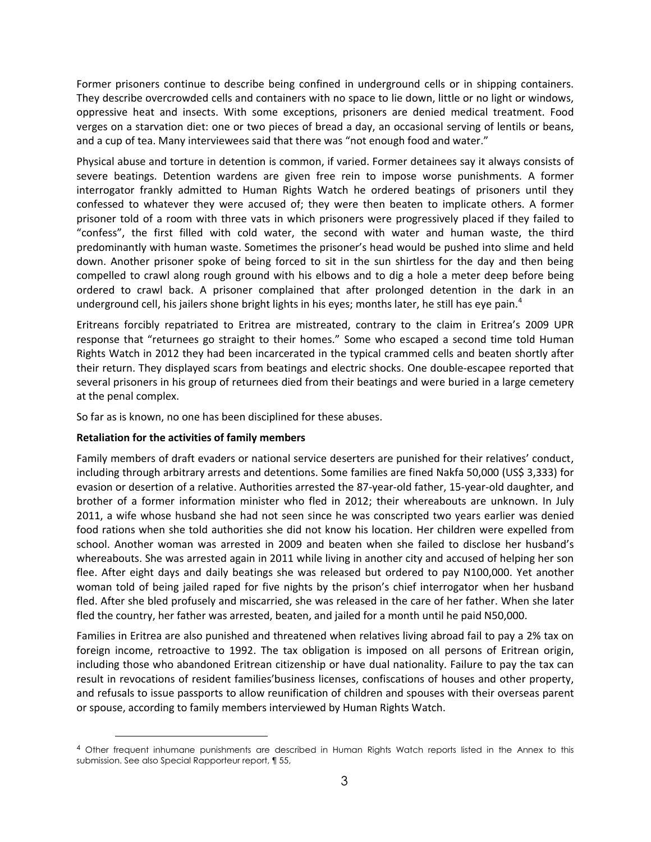Former prisoners continue to describe being confined in underground cells or in shipping containers. They describe overcrowded cells and containers with no space to lie down, little or no light or windows, oppressive heat and insects. With some exceptions, prisoners are denied medical treatment. Food verges on a starvation diet: one or two pieces of bread a day, an occasional serving of lentils or beans, and a cup of tea. Many interviewees said that there was "not enough food and water."

Physical abuse and torture in detention is common, if varied. Former detainees say it always consists of severe beatings. Detention wardens are given free rein to impose worse punishments. A former interrogator frankly admitted to Human Rights Watch he ordered beatings of prisoners until they confessed to whatever they were accused of; they were then beaten to implicate others. A former prisoner told of a room with three vats in which prisoners were progressively placed if they failed to "confess", the first filled with cold water, the second with water and human waste, the third predominantly with human waste. Sometimes the prisoner's head would be pushed into slime and held down. Another prisoner spoke of being forced to sit in the sun shirtless for the day and then being compelled to crawl along rough ground with his elbows and to dig a hole a meter deep before being ordered to crawl back. A prisoner complained that after prolonged detention in the dark in an underground cell, his jailers shone bright lights in his eyes; months later, he still has eye pain.<sup>4</sup>

Eritreans forcibly repatriated to Eritrea are mistreated, contrary to the claim in Eritrea's 2009 UPR response that "returnees go straight to their homes." Some who escaped a second time told Human Rights Watch in 2012 they had been incarcerated in the typical crammed cells and beaten shortly after their return. They displayed scars from beatings and electric shocks. One double-escapee reported that several prisoners in his group of returnees died from their beatings and were buried in a large cemetery at the penal complex.

So far as is known, no one has been disciplined for these abuses.

# **Retaliation for the activities of family members**

 $\overline{a}$ 

Family members of draft evaders or national service deserters are punished for their relatives' conduct, including through arbitrary arrests and detentions. Some families are fined Nakfa 50,000 (US\$ 3,333) for evasion or desertion of a relative. Authorities arrested the 87-year-old father, 15-year-old daughter, and brother of a former information minister who fled in 2012; their whereabouts are unknown. In July 2011, a wife whose husband she had not seen since he was conscripted two years earlier was denied food rations when she told authorities she did not know his location. Her children were expelled from school. Another woman was arrested in 2009 and beaten when she failed to disclose her husband's whereabouts. She was arrested again in 2011 while living in another city and accused of helping her son flee. After eight days and daily beatings she was released but ordered to pay N100,000. Yet another woman told of being jailed raped for five nights by the prison's chief interrogator when her husband fled. After she bled profusely and miscarried, she was released in the care of her father. When she later fled the country, her father was arrested, beaten, and jailed for a month until he paid N50,000.

Families in Eritrea are also punished and threatened when relatives living abroad fail to pay a 2% tax on foreign income, retroactive to 1992. The tax obligation is imposed on all persons of Eritrean origin, including those who abandoned Eritrean citizenship or have dual nationality. Failure to pay the tax can result in revocations of resident families'business licenses, confiscations of houses and other property, and refusals to issue passports to allow reunification of children and spouses with their overseas parent or spouse, according to family members interviewed by Human Rights Watch.

<sup>4</sup> Other frequent inhumane punishments are described in Human Rights Watch reports listed in the Annex to this submission. See also Special Rapporteur report, ¶ 55,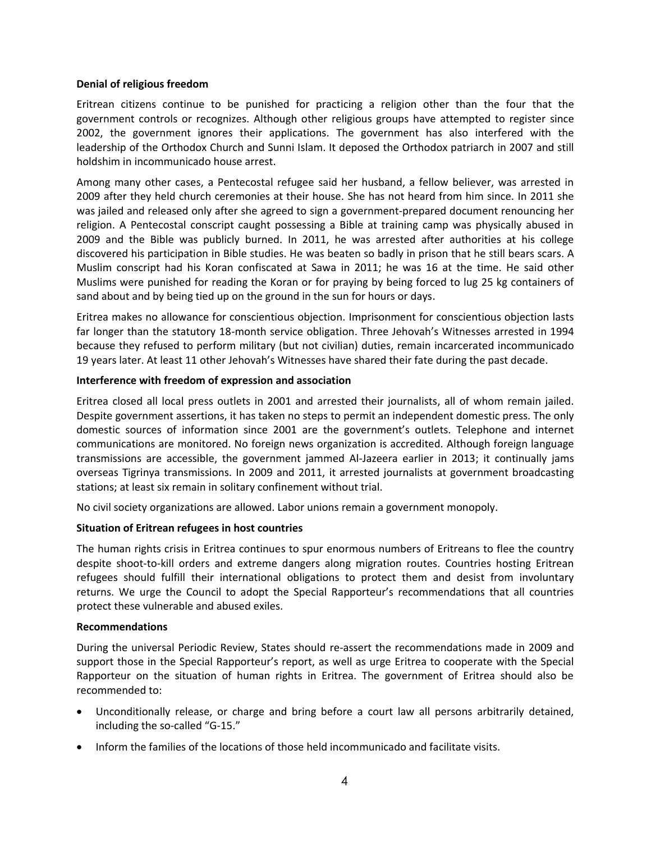## **Denial of religious freedom**

Eritrean citizens continue to be punished for practicing a religion other than the four that the government controls or recognizes. Although other religious groups have attempted to register since 2002, the government ignores their applications. The government has also interfered with the leadership of the Orthodox Church and Sunni Islam. It deposed the Orthodox patriarch in 2007 and still holdshim in incommunicado house arrest.

Among many other cases, a Pentecostal refugee said her husband, a fellow believer, was arrested in 2009 after they held church ceremonies at their house. She has not heard from him since. In 2011 she was jailed and released only after she agreed to sign a government-prepared document renouncing her religion. A Pentecostal conscript caught possessing a Bible at training camp was physically abused in 2009 and the Bible was publicly burned. In 2011, he was arrested after authorities at his college discovered his participation in Bible studies. He was beaten so badly in prison that he still bears scars. A Muslim conscript had his Koran confiscated at Sawa in 2011; he was 16 at the time. He said other Muslims were punished for reading the Koran or for praying by being forced to lug 25 kg containers of sand about and by being tied up on the ground in the sun for hours or days.

Eritrea makes no allowance for conscientious objection. Imprisonment for conscientious objection lasts far longer than the statutory 18-month service obligation. Three Jehovah's Witnesses arrested in 1994 because they refused to perform military (but not civilian) duties, remain incarcerated incommunicado 19 years later. At least 11 other Jehovah's Witnesses have shared their fate during the past decade.

## **Interference with freedom of expression and association**

Eritrea closed all local press outlets in 2001 and arrested their journalists, all of whom remain jailed. Despite government assertions, it has taken no steps to permit an independent domestic press. The only domestic sources of information since 2001 are the government's outlets. Telephone and internet communications are monitored. No foreign news organization is accredited. Although foreign language transmissions are accessible, the government jammed Al-Jazeera earlier in 2013; it continually jams overseas Tigrinya transmissions. In 2009 and 2011, it arrested journalists at government broadcasting stations; at least six remain in solitary confinement without trial.

No civil society organizations are allowed. Labor unions remain a government monopoly.

# **Situation of Eritrean refugees in host countries**

The human rights crisis in Eritrea continues to spur enormous numbers of Eritreans to flee the country despite shoot-to-kill orders and extreme dangers along migration routes. Countries hosting Eritrean refugees should fulfill their international obligations to protect them and desist from involuntary returns. We urge the Council to adopt the Special Rapporteur's recommendations that all countries protect these vulnerable and abused exiles.

## **Recommendations**

During the universal Periodic Review, States should re-assert the recommendations made in 2009 and support those in the Special Rapporteur's report, as well as urge Eritrea to cooperate with the Special Rapporteur on the situation of human rights in Eritrea. The government of Eritrea should also be recommended to:

- Unconditionally release, or charge and bring before a court law all persons arbitrarily detained, including the so-called "G-15."
- Inform the families of the locations of those held incommunicado and facilitate visits.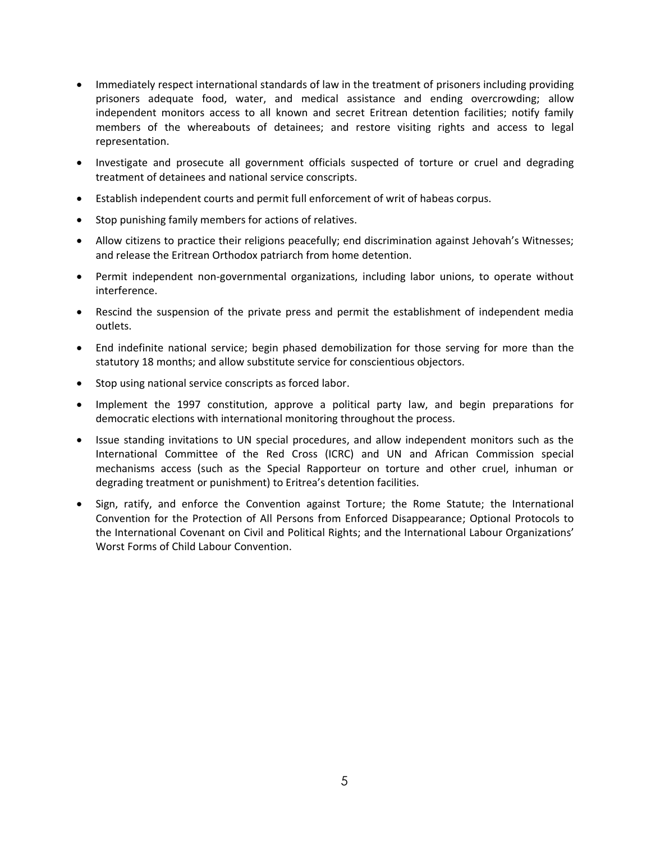- Immediately respect international standards of law in the treatment of prisoners including providing prisoners adequate food, water, and medical assistance and ending overcrowding; allow independent monitors access to all known and secret Eritrean detention facilities; notify family members of the whereabouts of detainees; and restore visiting rights and access to legal representation.
- Investigate and prosecute all government officials suspected of torture or cruel and degrading treatment of detainees and national service conscripts.
- Establish independent courts and permit full enforcement of writ of habeas corpus.
- Stop punishing family members for actions of relatives.
- Allow citizens to practice their religions peacefully; end discrimination against Jehovah's Witnesses; and release the Eritrean Orthodox patriarch from home detention.
- Permit independent non-governmental organizations, including labor unions, to operate without interference.
- Rescind the suspension of the private press and permit the establishment of independent media outlets.
- End indefinite national service; begin phased demobilization for those serving for more than the statutory 18 months; and allow substitute service for conscientious objectors.
- Stop using national service conscripts as forced labor.
- Implement the 1997 constitution, approve a political party law, and begin preparations for democratic elections with international monitoring throughout the process.
- Issue standing invitations to UN special procedures, and allow independent monitors such as the International Committee of the Red Cross (ICRC) and UN and African Commission special mechanisms access (such as the Special Rapporteur on torture and other cruel, inhuman or degrading treatment or punishment) to Eritrea's detention facilities.
- Sign, ratify, and enforce the Convention against Torture; the Rome Statute; the International Convention for the Protection of All Persons from Enforced Disappearance; Optional Protocols to the International Covenant on Civil and Political Rights; and the International Labour Organizations' Worst Forms of Child Labour Convention.